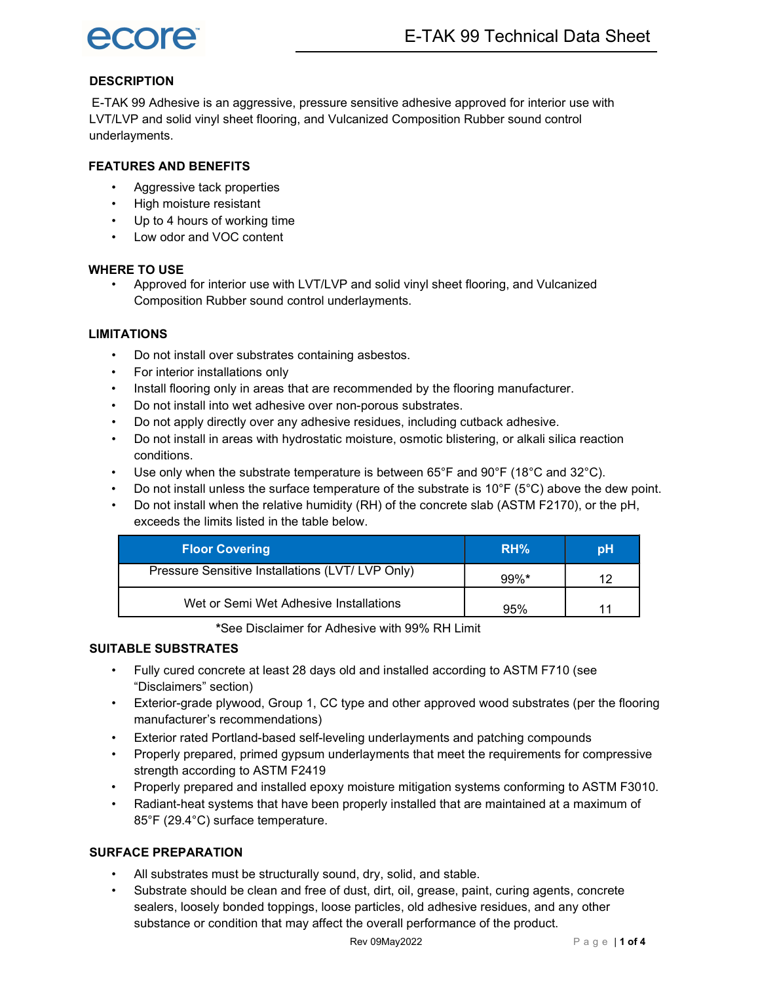

# **DESCRIPTION**

E-TAK 99 Adhesive is an aggressive, pressure sensitive adhesive approved for interior use with LVT/LVP and solid vinyl sheet flooring, and Vulcanized Composition Rubber sound control underlayments.

### FEATURES AND BENEFITS

- Aggressive tack properties
- High moisture resistant
- Up to 4 hours of working time
- Low odor and VOC content

### WHERE TO USE

• Approved for interior use with LVT/LVP and solid vinyl sheet flooring, and Vulcanized Composition Rubber sound control underlayments.

### **LIMITATIONS**

- Do not install over substrates containing asbestos.
- For interior installations only
- Install flooring only in areas that are recommended by the flooring manufacturer.
- Do not install into wet adhesive over non-porous substrates.
- Do not apply directly over any adhesive residues, including cutback adhesive.
- Do not install in areas with hydrostatic moisture, osmotic blistering, or alkali silica reaction conditions.
- Use only when the substrate temperature is between  $65^{\circ}F$  and  $90^{\circ}F$  (18 $^{\circ}C$  and 32 $^{\circ}C$ ).
- Do not install unless the surface temperature of the substrate is  $10^{\circ}F$  (5°C) above the dew point.
- Do not install when the relative humidity (RH) of the concrete slab (ASTM F2170), or the pH, exceeds the limits listed in the table below.

| <b>Floor Covering</b>                            | RH%     | рH |
|--------------------------------------------------|---------|----|
| Pressure Sensitive Installations (LVT/ LVP Only) | $99%$ * | ィク |
| Wet or Semi Wet Adhesive Installations           | 95%     |    |

\*See Disclaimer for Adhesive with 99% RH Limit

# SUITABLE SUBSTRATES

- Fully cured concrete at least 28 days old and installed according to ASTM F710 (see "Disclaimers" section)
- Exterior-grade plywood, Group 1, CC type and other approved wood substrates (per the flooring manufacturer's recommendations)
- Exterior rated Portland-based self-leveling underlayments and patching compounds
- Properly prepared, primed gypsum underlayments that meet the requirements for compressive strength according to ASTM F2419
- Properly prepared and installed epoxy moisture mitigation systems conforming to ASTM F3010.
- Radiant-heat systems that have been properly installed that are maintained at a maximum of 85°F (29.4°C) surface temperature.

## SURFACE PREPARATION

- All substrates must be structurally sound, dry, solid, and stable.
- Substrate should be clean and free of dust, dirt, oil, grease, paint, curing agents, concrete sealers, loosely bonded toppings, loose particles, old adhesive residues, and any other substance or condition that may affect the overall performance of the product.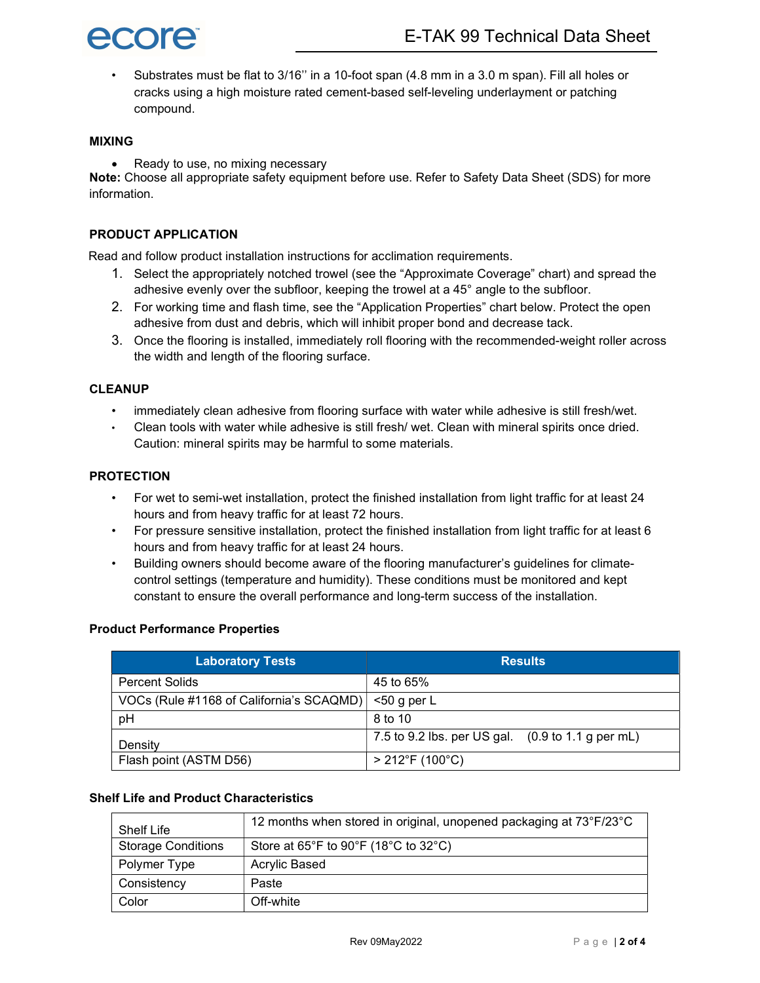

• Substrates must be flat to 3/16'' in a 10-foot span (4.8 mm in a 3.0 m span). Fill all holes or cracks using a high moisture rated cement-based self-leveling underlayment or patching compound.

### MIXING

• Ready to use, no mixing necessary

Note: Choose all appropriate safety equipment before use. Refer to Safety Data Sheet (SDS) for more information.

### PRODUCT APPLICATION

Read and follow product installation instructions for acclimation requirements.

- 1. Select the appropriately notched trowel (see the "Approximate Coverage" chart) and spread the adhesive evenly over the subfloor, keeping the trowel at a 45° angle to the subfloor.
- 2. For working time and flash time, see the "Application Properties" chart below. Protect the open adhesive from dust and debris, which will inhibit proper bond and decrease tack.
- 3. Once the flooring is installed, immediately roll flooring with the recommended-weight roller across the width and length of the flooring surface.

### **CLEANUP**

- immediately clean adhesive from flooring surface with water while adhesive is still fresh/wet.
- Clean tools with water while adhesive is still fresh/ wet. Clean with mineral spirits once dried. Caution: mineral spirits may be harmful to some materials.

#### PROTECTION

- For wet to semi-wet installation, protect the finished installation from light traffic for at least 24 hours and from heavy traffic for at least 72 hours.
- For pressure sensitive installation, protect the finished installation from light traffic for at least 6 hours and from heavy traffic for at least 24 hours.
- Building owners should become aware of the flooring manufacturer's guidelines for climatecontrol settings (temperature and humidity). These conditions must be monitored and kept constant to ensure the overall performance and long-term success of the installation.

#### Product Performance Properties

| <b>Laboratory Tests</b>                  | <b>Results</b>                                                       |  |
|------------------------------------------|----------------------------------------------------------------------|--|
| <b>Percent Solids</b>                    | 45 to 65%                                                            |  |
| VOCs (Rule #1168 of California's SCAQMD) | $50$ g per L                                                         |  |
| pH                                       | 8 to 10                                                              |  |
| Density                                  | 7.5 to 9.2 lbs. per US gal. $(0.9 \text{ to } 1.1 \text{ g per mL})$ |  |
| Flash point (ASTM D56)                   | $> 212^{\circ}F(100^{\circ}C)$                                       |  |

# Shelf Life and Product Characteristics

| Shelf Life                | 12 months when stored in original, unopened packaging at 73°F/23°C             |
|---------------------------|--------------------------------------------------------------------------------|
| <b>Storage Conditions</b> | Store at $65^{\circ}$ F to $90^{\circ}$ F (18 $^{\circ}$ C to 32 $^{\circ}$ C) |
| Polymer Type              | Acrylic Based                                                                  |
| Consistency               | Paste                                                                          |
| Color                     | Off-white                                                                      |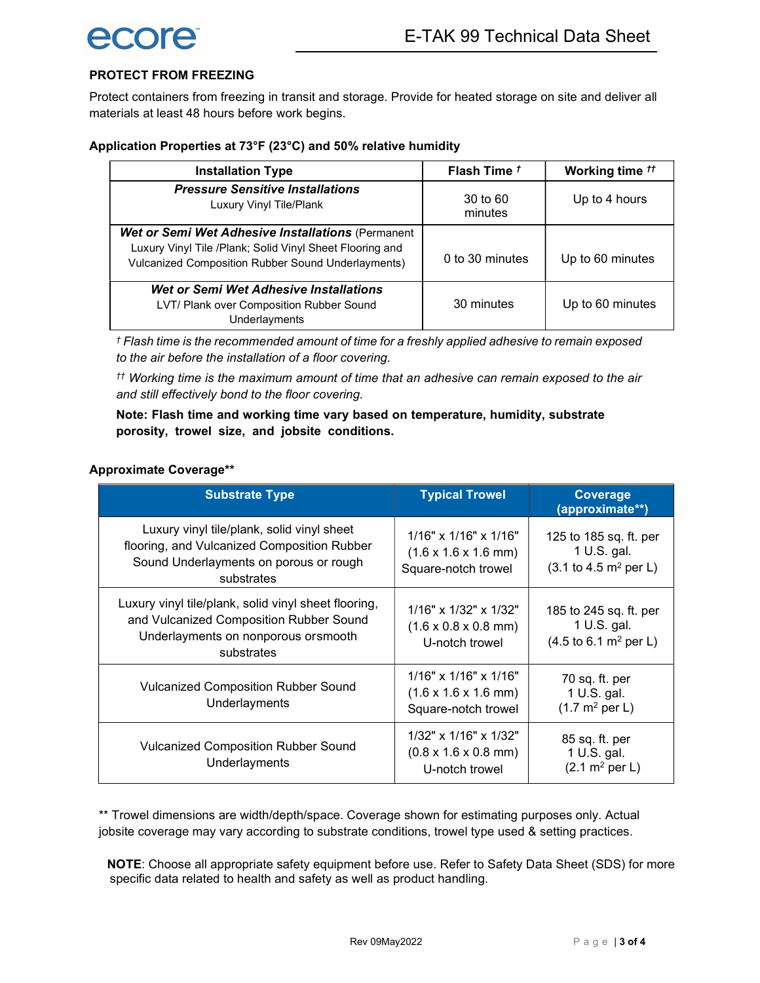# PROTECT FROM FREEZING

Protect containers from freezing in transit and storage. Provide for heated storage on site and deliver all materials at least 48 hours before work begins.

# Application Properties at 73°F (23°C) and 50% relative humidity

| <b>Installation Type</b>                                                                                                                                                   | Flash Time <sup>t</sup> | Working time <sup>tt</sup> |
|----------------------------------------------------------------------------------------------------------------------------------------------------------------------------|-------------------------|----------------------------|
| <b>Pressure Sensitive Installations</b><br>Luxury Vinyl Tile/Plank                                                                                                         | 30 to 60<br>minutes     | Up to 4 hours              |
| Wet or Semi Wet Adhesive Installations (Permanent<br>Luxury Vinyl Tile /Plank; Solid Vinyl Sheet Flooring and<br><b>Vulcanized Composition Rubber Sound Underlayments)</b> | 0 to 30 minutes         | Up to 60 minutes           |
| Wet or Semi Wet Adhesive Installations<br>LVT/ Plank over Composition Rubber Sound<br>Underlayments                                                                        | 30 minutes              | Up to 60 minutes           |

† Flash time is the recommended amount of time for a freshly applied adhesive to remain exposed to the air before the installation of a floor covering.

 $<sup>††</sup>$  Working time is the maximum amount of time that an adhesive can remain exposed to the air</sup> and still effectively bond to the floor covering.

Note: Flash time and working time vary based on temperature, humidity, substrate porosity, trowel size, and jobsite conditions.

## Approximate Coverage\*\*

| <b>Substrate Type</b>                                                                                                                                | <b>Typical Trowel</b>                                                                          | Coverage<br>(approximate**)                                                                 |
|------------------------------------------------------------------------------------------------------------------------------------------------------|------------------------------------------------------------------------------------------------|---------------------------------------------------------------------------------------------|
| Luxury vinyl tile/plank, solid vinyl sheet<br>flooring, and Vulcanized Composition Rubber<br>Sound Underlayments on porous or rough<br>substrates    | $1/16"$ x $1/16"$ x $1/16"$<br>$(1.6 \times 1.6 \times 1.6 \text{ mm})$<br>Square-notch trowel | 125 to 185 sq. ft. per<br>1 U.S. gal.<br>$(3.1 \text{ to } 4.5 \text{ m}^2 \text{ per } L)$ |
| Luxury vinyl tile/plank, solid vinyl sheet flooring,<br>and Vulcanized Composition Rubber Sound<br>Underlayments on nonporous orsmooth<br>substrates | $1/16"$ x $1/32"$ x $1/32"$<br>$(1.6 \times 0.8 \times 0.8 \text{ mm})$<br>U-notch trowel      | 185 to 245 sq. ft. per<br>1 U.S. gal.<br>$(4.5 \text{ to } 6.1 \text{ m}^2 \text{ per } L)$ |
| <b>Vulcanized Composition Rubber Sound</b><br>Underlayments                                                                                          | $1/16"$ x $1/16"$ x $1/16"$<br>$(1.6 \times 1.6 \times 1.6 \text{ mm})$<br>Square-notch trowel | 70 sq. ft. per<br>1 U.S. gal.<br>$(1.7 \, \text{m}^2 \text{ per L})$                        |
| <b>Vulcanized Composition Rubber Sound</b><br>Underlayments                                                                                          | $1/32$ " x $1/16$ " x $1/32$ "<br>$(0.8 \times 1.6 \times 0.8 \text{ mm})$<br>U-notch trowel   | 85 sq. ft. per<br>1 U.S. gal.<br>$(2.1 \text{ m}^2 \text{ per L})$                          |

\*\* Trowel dimensions are width/depth/space. Coverage shown for estimating purposes only. Actual jobsite coverage may vary according to substrate conditions, trowel type used & setting practices.

NOTE: Choose all appropriate safety equipment before use. Refer to Safety Data Sheet (SDS) for more specific data related to health and safety as well as product handling.